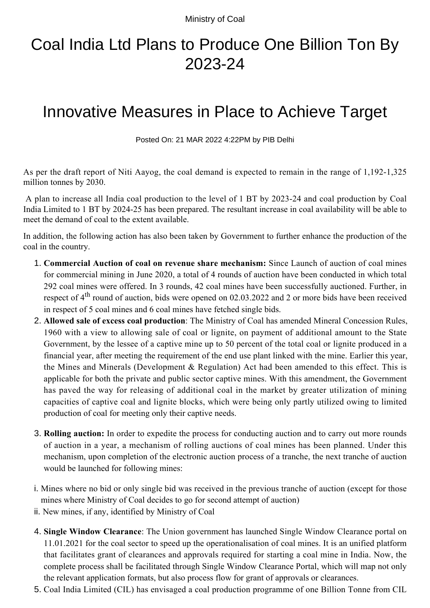Ministry of Coal

## Coal India Ltd Plans to Produce One Billion Ton By 2023-24

## Innovative Measures in Place to Achieve Target

Posted On: 21 MAR 2022 4:22PM by PIB Delhi

As per the draft report of Niti Aayog, the coal demand is expected to remain in the range of 1,192-1,325 million tonnes by 2030.

 A plan to increase all India coal production to the level of 1 BT by 2023-24 and coal production by Coal India Limited to 1 BT by 2024-25 has been prepared. The resultant increase in coal availability will be able to meet the demand of coal to the extent available.

In addition, the following action has also been taken by Government to further enhance the production of the coal in the country.

- **Commercial Auction of coal on revenue share mechanism:** Since Launch of auction of coal mines 1. for commercial mining in June 2020, a total of 4 rounds of auction have been conducted in which total 292 coal mines were offered. In 3 rounds, 42 coal mines have been successfully auctioned. Further, in respect of 4<sup>th</sup> round of auction, bids were opened on 02.03.2022 and 2 or more bids have been received in respect of 5 coal mines and 6 coal mines have fetched single bids.
- **Allowed sale of excess coal production**: The Ministry of Coal has amended Mineral Concession Rules, 2. 1960 with a view to allowing sale of coal or lignite, on payment of additional amount to the State Government, by the lessee of a captive mine up to 50 percent of the total coal or lignite produced in a financial year, after meeting the requirement of the end use plant linked with the mine. Earlier this year, the Mines and Minerals (Development & Regulation) Act had been amended to this effect. This is applicable for both the private and public sector captive mines. With this amendment, the Government has paved the way for releasing of additional coal in the market by greater utilization of mining capacities of captive coal and lignite blocks, which were being only partly utilized owing to limited production of coal for meeting only their captive needs.
- **Rolling auction:** In order to expedite the process for conducting auction and to carry out more rounds 3. of auction in a year, a mechanism of rolling auctions of coal mines has been planned. Under this mechanism, upon completion of the electronic auction process of a tranche, the next tranche of auction would be launched for following mines:
- i. Mines where no bid or only single bid was received in the previous tranche of auction (except for those mines where Ministry of Coal decides to go for second attempt of auction)
- ii. New mines, if any, identified by Ministry of Coal
- **Single Window Clearance**: The Union government has launched Single Window Clearance portal on 4. 11.01.2021 for the coal sector to speed up the operationalisation of coal mines. It is an unified platform that facilitates grant of clearances and approvals required for starting a coal mine in India. Now, the complete process shall be facilitated through Single Window Clearance Portal, which will map not only the relevant application formats, but also process flow for grant of approvals or clearances.
- 5. Coal India Limited (CIL) has envisaged a coal production programme of one Billion Tonne from CIL